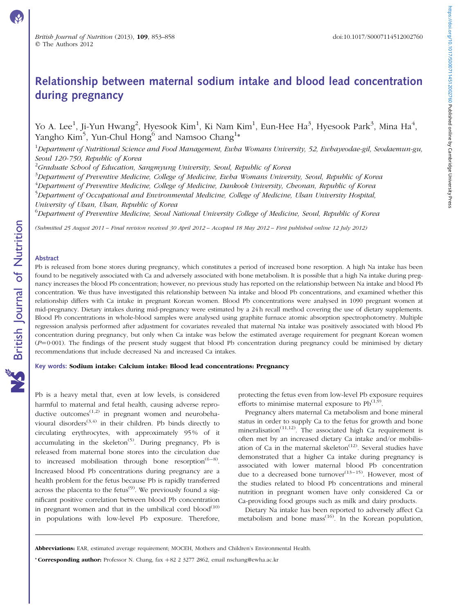# Relationship between maternal sodium intake and blood lead concentration during pregnancy

Yo A. Lee $^1$ , Ji-Yun Hwang $^2$ , Hyesook Kim $^1$ , Ki Nam Kim $^1$ , Eun-Hee Ha $^3$ , Hyesook Park $^3$ , Mina Ha $^4$ , Yangho Kim<sup>5</sup>, Yun-Chul Hong<sup>6</sup> and Namsoo Chang<sup>1</sup>\*

<sup>1</sup>Department of Nutritional Science and Food Management, Ewha Womans University, 52, Ewhayeodae-gil, Seodaemun-gu, Seoul 120-750, Republic of Korea

 $^{2}$ Graduate School of Education, Sangmyung University, Seoul, Republic of Korea

 $^3$ Department of Preventive Medicine, College of Medicine, Ewha Womans University, Seoul, Republic of Korea <sup>4</sup>Department of Preventive Medicine, College of Medicine, Dankook University, Cheonan, Republic of Korea <sup>5</sup>Department of Occupational and Environmental Medicine, College of Medicine, Ulsan University Hospital, University of Ulsan, Ulsan, Republic of Korea

<sup>6</sup>Department of Preventive Medicine, Seoul National University College of Medicine, Seoul, Republic of Korea

(Submitted 25 August 2011 – Final revision received 30 April 2012 – Accepted 18 May 2012 – First published online 12 July 2012)

# Abstract

Pb is released from bone stores during pregnancy, which constitutes a period of increased bone resorption. A high Na intake has been found to be negatively associated with Ca and adversely associated with bone metabolism. It is possible that a high Na intake during pregnancy increases the blood Pb concentration; however, no previous study has reported on the relationship between Na intake and blood Pb concentration. We thus have investigated this relationship between Na intake and blood Pb concentrations, and examined whether this relationship differs with Ca intake in pregnant Korean women. Blood Pb concentrations were analysed in 1090 pregnant women at mid-pregnancy. Dietary intakes during mid-pregnancy were estimated by a 24 h recall method covering the use of dietary supplements. Blood Pb concentrations in whole-blood samples were analysed using graphite furnace atomic absorption spectrophotometry. Multiple regression analysis performed after adjustment for covariates revealed that maternal Na intake was positively associated with blood Pb concentration during pregnancy, but only when Ca intake was below the estimated average requirement for pregnant Korean women  $(P=0.001)$ . The findings of the present study suggest that blood Pb concentration during pregnancy could be minimised by dietary recommendations that include decreased Na and increased Ca intakes.

Key words: Sodium intake: Calcium intake: Blood lead concentrations: Pregnancy

Pb is a heavy metal that, even at low levels, is considered harmful to maternal and fetal health, causing adverse reproductive outcomes $^{(1,2)}$  in pregnant women and neurobehavioural disorders<sup> $(3,4)$ </sup> in their children. Pb binds directly to circulating erythrocytes, with approximately 95% of it accumulating in the skeleton<sup> $(5)$ </sup>. During pregnancy, Pb is released from maternal bone stores into the circulation due to increased mobilisation through bone  $resorption^{(6-8)}$ . Increased blood Pb concentrations during pregnancy are a health problem for the fetus because Pb is rapidly transferred across the placenta to the fetus<sup>(9)</sup>. We previously found a significant positive correlation between blood Pb concentration in pregnant women and that in the umbilical cord  $b$ lood $(10)$ in populations with low-level Pb exposure. Therefore,

protecting the fetus even from low-level Pb exposure requires efforts to minimise maternal exposure to  $Pb^{(1,9)}$ .

Pregnancy alters maternal Ca metabolism and bone mineral status in order to supply Ca to the fetus for growth and bone mineralisation<sup> $(11,12)$ </sup>. The associated high Ca requirement is often met by an increased dietary Ca intake and/or mobilisation of Ca in the maternal skeleton<sup> $(12)$ </sup>. Several studies have demonstrated that a higher Ca intake during pregnancy is associated with lower maternal blood Pb concentration due to a decreased bone turnover $(13-15)$ . However, most of the studies related to blood Pb concentrations and mineral nutrition in pregnant women have only considered Ca or Ca-providing food groups such as milk and dairy products.

Dietary Na intake has been reported to adversely affect Ca metabolism and bone mass $^{(16)}$ . In the Korean population,

Abbreviations: EAR, estimated average requirement; MOCEH, Mothers and Children's Environmental Health.

\* Corresponding author: Professor N. Chang, fax  $+82$  2 3277 2862, email nschang@ewha.ac.kr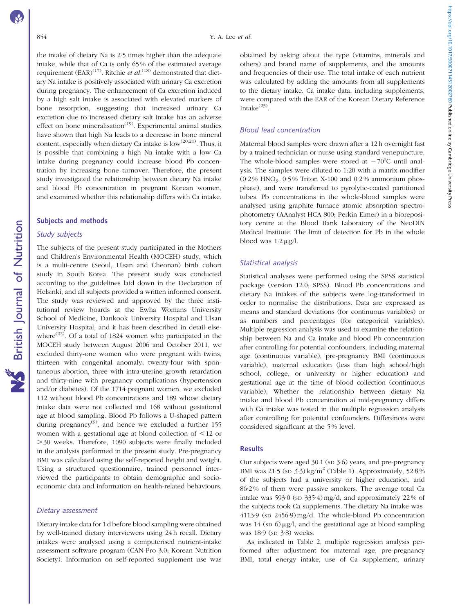https://doi.org/10.1017/S0007114512002760 Published online by Cambridge University Press https://doi.org/10.1017/S0007114512002760 Published online by Cambridge University Press

the intake of dietary Na is 2·5 times higher than the adequate intake, while that of Ca is only 65 % of the estimated average requirement (EAR)<sup>(17)</sup>. Ritchie et  $al$ <sup>(18)</sup> demonstrated that dietary Na intake is positively associated with urinary Ca excretion during pregnancy. The enhancement of Ca excretion induced by a high salt intake is associated with elevated markers of bone resorption, suggesting that increased urinary Ca excretion due to increased dietary salt intake has an adverse effect on bone mineralisation<sup>(19)</sup>. Experimental animal studies have shown that high Na leads to a decrease in bone mineral content, especially when dietary Ca intake is  $\text{low}^{(20,21)}$ . Thus, it is possible that combining a high Na intake with a low Ca intake during pregnancy could increase blood Pb concentration by increasing bone turnover. Therefore, the present study investigated the relationship between dietary Na intake and blood Pb concentration in pregnant Korean women, and examined whether this relationship differs with Ca intake.

# Subjects and methods

# Study subjects

The subjects of the present study participated in the Mothers and Children's Environmental Health (MOCEH) study, which is a multi-centre (Seoul, Ulsan and Cheonan) birth cohort study in South Korea. The present study was conducted according to the guidelines laid down in the Declaration of Helsinki, and all subjects provided a written informed consent. The study was reviewed and approved by the three institutional review boards at the Ewha Womans University School of Medicine, Dankook University Hospital and Ulsan University Hospital, and it has been described in detail elsewhere<sup> $(22)$ </sup>. Of a total of 1824 women who participated in the MOCEH study between August 2006 and October 2011, we excluded thirty-one women who were pregnant with twins, thirteen with congenital anomaly, twenty-four with spontaneous abortion, three with intra-uterine growth retardation and thirty-nine with pregnancy complications (hypertension and/or diabetes). Of the 1714 pregnant women, we excluded 112 without blood Pb concentrations and 189 whose dietary intake data were not collected and 168 without gestational age at blood sampling. Blood Pb follows a U-shaped pattern during pregnancy<sup>(9)</sup>, and hence we excluded a further  $155$ women with a gestational age at blood collection of  $\leq$  12 or .30 weeks. Therefore, 1090 subjects were finally included in the analysis performed in the present study. Pre-pregnancy BMI was calculated using the self-reported height and weight. Using a structured questionnaire, trained personnel interviewed the participants to obtain demographic and socioeconomic data and information on health-related behaviours.

### Dietary assessment

Dietary intake data for 1 d before blood sampling were obtained by well-trained dietary interviewers using 24 h recall. Dietary intakes were analysed using a computerised nutrient-intake assessment software program (CAN-Pro 3.0; Korean Nutrition Society). Information on self-reported supplement use was

obtained by asking about the type (vitamins, minerals and others) and brand name of supplements, and the amounts and frequencies of their use. The total intake of each nutrient was calculated by adding the amounts from all supplements to the dietary intake. Ca intake data, including supplements, were compared with the EAR of the Korean Dietary Reference Intake $^{(23)}$ .

# Blood lead concentration

Maternal blood samples were drawn after a 12 h overnight fast by a trained technician or nurse using standard venepuncture. The whole-blood samples were stored at  $-70^{\circ}$ C until analysis. The samples were diluted to 1:20 with a matrix modifier  $(0.2\%$  HNO<sub>3</sub>,  $0.5\%$  Triton X-100 and  $0.2\%$  ammonium phosphate), and were transferred to pyrolytic-coated partitioned tubes. Pb concentrations in the whole-blood samples were analysed using graphite furnace atomic absorption spectrophotometry (AAnalyst HCA 800; Perkin Elmer) in a biorepository centre at the Blood Bank Laboratory of the NeoDIN Medical Institute. The limit of detection for Pb in the whole blood was  $1.2 \mu\text{g/l}$ .

#### Statistical analysis

Statistical analyses were performed using the SPSS statistical package (version 12.0; SPSS). Blood Pb concentrations and dietary Na intakes of the subjects were log-transformed in order to normalise the distributions. Data are expressed as means and standard deviations (for continuous variables) or as numbers and percentages (for categorical variables). Multiple regression analysis was used to examine the relationship between Na and Ca intake and blood Pb concentration after controlling for potential confounders, including maternal age (continuous variable), pre-pregnancy BMI (continuous variable), maternal education (less than high school/high school, college, or university or higher education) and gestational age at the time of blood collection (continuous variable). Whether the relationship between dietary Na intake and blood Pb concentration at mid-pregnancy differs with Ca intake was tested in the multiple regression analysis after controlling for potential confounders. Differences were considered significant at the 5 % level.

# Results

Our subjects were aged 30·1 (SD 3·6) years, and pre-pregnancy BMI was  $21·5$  (sp  $3·3$ ) kg/m<sup>2</sup> ([Table 1](#page-2-0)). Approximately,  $52·8%$ of the subjects had a university or higher education, and 86·2 % of them were passive smokers. The average total Ca intake was 593·0 (SD 335·4) mg/d, and approximately 22 % of the subjects took Ca supplements. The dietary Na intake was 4113·9 (SD 2456·9) mg/d. The whole-blood Pb concentration was 14 (sp  $\frac{6}{9}$   $\mu$ g/l, and the gestational age at blood sampling was 18<sup>.9</sup> (sp 3<sup>.8</sup>) weeks.

As indicated in [Table 2](#page-3-0), multiple regression analysis performed after adjustment for maternal age, pre-pregnancy BMI, total energy intake, use of Ca supplement, urinary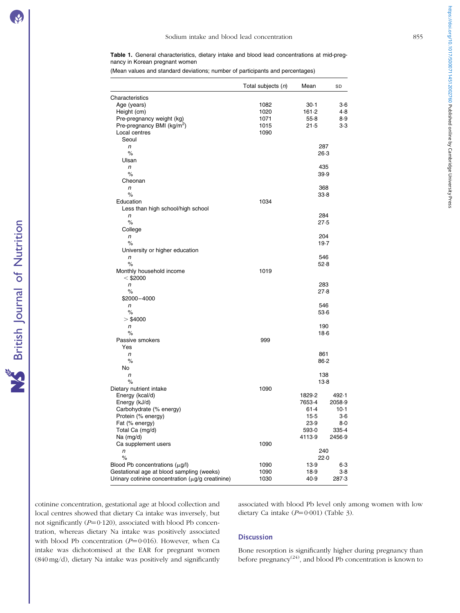<span id="page-2-0"></span>Table 1. General characteristics, dietary intake and blood lead concentrations at mid-pregnancy in Korean pregnant women

| (Mean values and standard deviations; number of participants and percentages) |  |
|-------------------------------------------------------------------------------|--|
|-------------------------------------------------------------------------------|--|

|                                                         | Total subjects (n) | Mean             | SD              |
|---------------------------------------------------------|--------------------|------------------|-----------------|
| Characteristics                                         |                    |                  |                 |
| Age (years)                                             | 1082               | $30-1$           | 3.6             |
| Height (cm)                                             | 1020               | 161.2            | 4.8             |
| Pre-pregnancy weight (kg)                               | 1071<br>1015       | $55-8$           | 8.9             |
| Pre-pregnancy BMI (kg/m <sup>2</sup> )<br>Local centres | 1090               | 21.5             | 3.3             |
| Seoul                                                   |                    |                  |                 |
| n                                                       |                    | 287              |                 |
| $\%$                                                    |                    | 26.3             |                 |
| Ulsan                                                   |                    |                  |                 |
| n                                                       |                    | 435              |                 |
| $\%$<br>Cheonan                                         |                    | 39.9             |                 |
| n                                                       |                    | 368              |                 |
| $\%$                                                    |                    | 33.8             |                 |
| Education                                               | 1034               |                  |                 |
| Less than high school/high school                       |                    |                  |                 |
| n                                                       |                    | 284              |                 |
| $\%$                                                    |                    | 27.5             |                 |
| College                                                 |                    | 204              |                 |
| n<br>%                                                  |                    | $19-7$           |                 |
| University or higher education                          |                    |                  |                 |
| n                                                       |                    | 546              |                 |
| %                                                       |                    | 52.8             |                 |
| Monthly household income                                | 1019               |                  |                 |
| $<$ \$2000                                              |                    |                  |                 |
| n<br>$\%$                                               |                    | 283<br>27.8      |                 |
| \$2000-4000                                             |                    |                  |                 |
| n                                                       |                    | 546              |                 |
| $\%$                                                    |                    | $53-6$           |                 |
| $>$ \$4000                                              |                    |                  |                 |
| n                                                       |                    | 190              |                 |
| %                                                       |                    | $18-6$           |                 |
| Passive smokers<br>Yes                                  | 999                |                  |                 |
| n                                                       |                    | 861              |                 |
| $\%$                                                    |                    | $86-2$           |                 |
| No                                                      |                    |                  |                 |
| n                                                       |                    | 138              |                 |
| %                                                       |                    | $13-8$           |                 |
| Dietary nutrient intake                                 | 1090               |                  |                 |
| Energy (kcal/d)<br>Energy (kJ/d)                        |                    | 1829.2<br>7653.4 | 492.1<br>2058-9 |
| Carbohydrate (% energy)                                 |                    | $61-4$           | $10-1$          |
| Protein (% energy)                                      |                    | $15-5$           | 3.6             |
| Fat (% energy)                                          |                    | 23.9             | $8-0$           |
| Total Ca (mg/d)                                         |                    | 593.0            | 335.4           |
| Na (mg/d)                                               |                    | 4113.9           | 2456.9          |
| Ca supplement users                                     | 1090               |                  |                 |
| n<br>$\%$                                               |                    | 240<br>22.0      |                 |
| Blood Pb concentrations $(\mu g/l)$                     | 1090               | 13.9             | 6.3             |
| Gestational age at blood sampling (weeks)               | 1090               | 18.9             | 3.8             |
| Urinary cotinine concentration $(\mu g/g)$ creatinine)  | 1030               | 40.9             | 287.3           |

cotinine concentration, gestational age at blood collection and local centres showed that dietary Ca intake was inversely, but not significantly  $(P=0.120)$ , associated with blood Pb concentration, whereas dietary Na intake was positively associated with blood Pb concentration  $(P=0.016)$ . However, when Ca intake was dichotomised at the EAR for pregnant women (840 mg/d), dietary Na intake was positively and significantly associated with blood Pb level only among women with low dietary Ca intake  $(P=0.001)$  ([Table 3](#page-3-0)).

# **Discussion**

Bone resorption is significantly higher during pregnancy than before pregnancy<sup>(24)</sup>, and blood Pb concentration is known to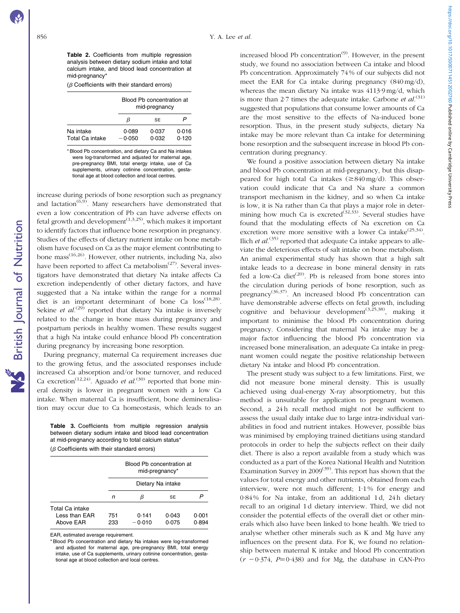https://doi.org/10.1017/S0007114512002760 Published online by Cambridge University Press https://doi.org/10.1017/S0007114512002760 Published online by Cambridge University Press

<span id="page-3-0"></span>Table 2. Coefficients from multiple regression analysis between dietary sodium intake and total calcium intake, and blood lead concentration at mid-pregnancy\*

 $\beta$  Coefficients with their standard errors)

|                              |                   | Blood Pb concentration at<br>mid-pregnancy |                |  |
|------------------------------|-------------------|--------------------------------------------|----------------|--|
|                              | В                 | SE                                         |                |  |
| Na intake<br>Total Ca intake | 0.089<br>$-0.050$ | 0.037<br>0.032                             | 0.016<br>0.120 |  |

\* Blood Pb concentration, and dietary Ca and Na intakes were log-transformed and adjusted for maternal age, pre-pregnancy BMI, total energy intake, use of Ca supplements, urinary cotinine concentration, gestational age at blood collection and local centres.

increase during periods of bone resorption such as pregnancy and lactation<sup> $(6,9)$ </sup>. Many researchers have demonstrated that even a low concentration of Pb can have adverse effects on fetal growth and development<sup> $(1,3,25)$ </sup>, which makes it important to identify factors that influence bone resorption in pregnancy. Studies of the effects of dietary nutrient intake on bone metabolism have focused on Ca as the major element contributing to bone mass(16,26). However, other nutrients, including Na, also have been reported to affect Ca metabolism<sup>(27)</sup>. Several investigators have demonstrated that dietary Na intake affects Ca excretion independently of other dietary factors, and have suggested that a Na intake within the range for a normal diet is an important determinant of bone Ca  $loss^{(18,28)}$ . Sekine et  $al^{(29)}$  reported that dietary Na intake is inversely related to the change in bone mass during pregnancy and postpartum periods in healthy women. These results suggest that a high Na intake could enhance blood Pb concentration during pregnancy by increasing bone resorption.

During pregnancy, maternal Ca requirement increases due to the growing fetus, and the associated responses include increased Ca absorption and/or bone turnover, and reduced Ca excretion<sup>(12,24)</sup>. Aguado *et al.*<sup>(30)</sup> reported that bone mineral density is lower in pregnant women with a low Ca intake. When maternal Ca is insufficient, bone demineralisation may occur due to Ca homeostasis, which leads to an

Table 3. Coefficients from multiple regression analysis between dietary sodium intake and blood lead concentration at mid-pregnancy according to total calcium status\* ( $\beta$  Coefficients with their standard errors)

|                                               | Blood Pb concentration at<br>mid-pregnancy* |                   |                |                |  |
|-----------------------------------------------|---------------------------------------------|-------------------|----------------|----------------|--|
|                                               |                                             | Dietary Na intake |                |                |  |
|                                               | n                                           | R                 | SE             |                |  |
| Total Ca intake<br>Less than EAR<br>Above EAR | 751<br>233                                  | 0.141<br>$-0.010$ | 0.043<br>0.075 | 0.001<br>0.894 |  |

EAR, estimated average requirement.

\* Blood Pb concentration and dietary Na intakes were log-transformed and adjusted for maternal age, pre-pregnancy BMI, total energy intake, use of Ca supplements, urinary cotinine concentration, gestational age at blood collection and local centres.

increased blood Pb concentration<sup>(9)</sup>. However, in the present study, we found no association between Ca intake and blood Pb concentration. Approximately 74 % of our subjects did not meet the EAR for Ca intake during pregnancy (840 mg/d), whereas the mean dietary Na intake was 4113·9 mg/d, which is more than 2.7 times the adequate intake. Carbone et  $al^{(31)}$ . suggested that populations that consume lower amounts of Ca are the most sensitive to the effects of Na-induced bone resorption. Thus, in the present study subjects, dietary Na intake may be more relevant than Ca intake for determining bone resorption and the subsequent increase in blood Pb concentration during pregnancy.

We found a positive association between dietary Na intake and blood Pb concentration at mid-pregnancy, but this disappeared for high total Ca intakes  $(\geq 840 \text{ mg/d})$ . This observation could indicate that Ca and Na share a common transport mechanism in the kidney, and so when Ca intake is low, it is Na rather than Ca that plays a major role in determining how much Ca is excreted<sup>(32,33)</sup>. Several studies have found that the modulating effects of Na excretion on Ca excretion were more sensitive with a lower Ca intake<sup>(25,34)</sup>. Ilich et  $al^{(35)}$  reported that adequate Ca intake appears to alleviate the deleterious effects of salt intake on bone metabolism. An animal experimental study has shown that a high salt intake leads to a decrease in bone mineral density in rats fed a low-Ca diet<sup>(20)</sup>. Pb is released from bone stores into the circulation during periods of bone resorption, such as pregnancy<sup>(36,37)</sup>. An increased blood Pb concentration can have demonstrable adverse effects on fetal growth, including cognitive and behaviour development<sup>(3,25,38)</sup>, making it important to minimise the blood Pb concentration during pregnancy. Considering that maternal Na intake may be a major factor influencing the blood Pb concentration via increased bone mineralisation, an adequate Ca intake in pregnant women could negate the positive relationship between dietary Na intake and blood Pb concentration.

The present study was subject to a few limitations. First, we did not measure bone mineral density. This is usually achieved using dual-energy X-ray absorptiometry, but this method is unsuitable for application to pregnant women. Second, a 24h recall method might not be sufficient to assess the usual daily intake due to large intra-individual variabilities in food and nutrient intakes. However, possible bias was minimised by employing trained dietitians using standard protocols in order to help the subjects reflect on their daily diet. There is also a report available from a study which was conducted as a part of the Korea National Health and Nutrition Examination Survey in  $2009^{(39)}$ . This report has shown that the values for total energy and other nutrients, obtained from each interview, were not much different; 1·1 % for energy and 0·84 % for Na intake, from an additional 1 d, 24 h dietary recall to an original 1 d dietary interview. Third, we did not consider the potential effects of the overall diet or other minerals which also have been linked to bone health. We tried to analyse whether other minerals such as K and Mg have any influences on the present data. For K, we found no relationship between maternal K intake and blood Pb concentration  $(r - 0.374, P=0.438)$  and for Mg, the database in CAN-Pro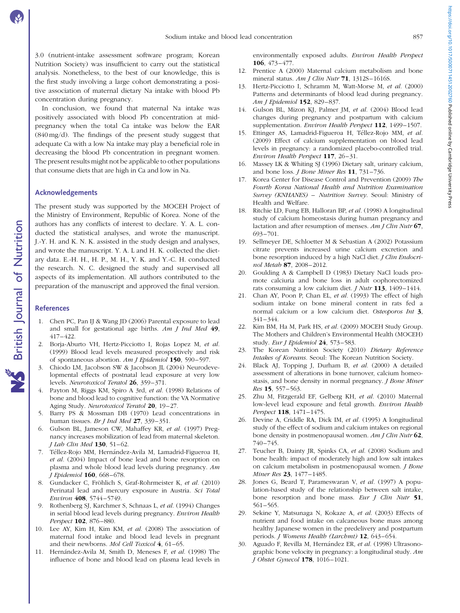3.0 (nutrient-intake assessment software program; Korean Nutrition Society) was insufficient to carry out the statistical analysis. Nonetheless, to the best of our knowledge, this is the first study involving a large cohort demonstrating a positive association of maternal dietary Na intake with blood Pb concentration during pregnancy.

In conclusion, we found that maternal Na intake was positively associated with blood Pb concentration at midpregnancy when the total Ca intake was below the EAR (840 mg/d). The findings of the present study suggest that adequate Ca with a low Na intake may play a beneficial role in decreasing the blood Pb concentration in pregnant women. The present results might not be applicable to other populations that consume diets that are high in Ca and low in Na.

### Acknowledgements

The present study was supported by the MOCEH Project of the Ministry of Environment, Republic of Korea. None of the authors has any conflicts of interest to declare. Y. A. L. conducted the statistical analyses, and wrote the manuscript. J.-Y. H. and K. N. K. assisted in the study design and analyses, and wrote the manuscript. Y. A. L and H. K. collected the dietary data. E.-H. H., H. P., M. H., Y. K. and Y.-C. H. conducted the research. N. C. designed the study and supervised all aspects of its implementation. All authors contributed to the preparation of the manuscript and approved the final version.

### **References**

- 1. Chen PC, Pan IJ & Wang JD (2006) Parental exposure to lead and small for gestational age births. Am J Ind Med 49, 417–422.
- 2. Borja-Aburto VH, Hertz-Picciotto I, Rojas Lopez M, et al. (1999) Blood lead levels measured prospectively and risk of spontaneous abortion. Am J Epidemiol 150, 590–597.
- 3. Chiodo LM, Jacobson SW & Jacobson JL (2004) Neurodevelopmental effects of postnatal lead exposure at very low levels. Neurotoxicol Teratol 26, 359–371.
- 4. Payton M, Riggs KM, Spiro A 3rd, et al. (1998) Relations of bone and blood lead to cognitive function: the VA Normative Aging Study. Neurotoxicol Teratol 20, 19–27.
- 5. Barry PS & Mossman DB (1970) Lead concentrations in human tissues. Br J Ind Med 27, 339-351.
- 6. Gulson BL, Jameson CW, Mahaffey KR, et al. (1997) Pregnancy increases mobilization of lead from maternal skeleton. J Lab Clin Med 130, 51–62.
- 7. Téllez-Rojo MM, Hernández-Avila M, Lamadrid-Figueroa H, et al. (2004) Impact of bone lead and bone resorption on plasma and whole blood lead levels during pregnancy. Am J Epidemiol 160, 668–678.
- 8. Gundacker C, Fröhlich S, Graf-Rohrmeister K, et al. (2010) Perinatal lead and mercury exposure in Austria. Sci Total Environ 408, 5744–5749.
- 9. Rothenberg SJ, Karchmer S, Schnaas L, et al. (1994) Changes in serial blood lead levels during pregnancy. Environ Health Perspect 102, 876–880.
- 10. Lee AY, Kim H, Kim KM, et al. (2008) The association of maternal food intake and blood lead levels in pregnant and their newborns. Mol Cell Toxicol 4, 61–65.
- 11. Hernández-Avila M, Smith D, Meneses F, et al. (1998) The influence of bone and blood lead on plasma lead levels in

environmentally exposed adults. Environ Health Perspect 106, 473–477.

- 12. Prentice A (2000) Maternal calcium metabolism and bone mineral status. Am J Clin Nutr  $71$ , 1312S-1616S.
- 13. Hertz-Picciotto I, Schramm M, Watt-Morse M, et al. (2000) Patterns and determinants of blood lead during pregnancy. Am J Epidemiol 152, 829-837.
- 14. Gulson BL, Mizon KJ, Palmer JM, et al. (2004) Blood lead changes during pregnancy and postpartum with calcium supplementation. Environ Health Perspect 112, 1499-1507.
- 15. Ettinger AS, Lamadrid-Figueroa H, Téllez-Rojo MM, et al. (2009) Effect of calcium supplementation on blood lead levels in pregnancy: a randomized placebo-controlled trial. Environ Health Perspect 117, 26–31.
- 16. Massey LK & Whiting SJ (1996) Dietary salt, urinary calcium, and bone loss. *J Bone Miner Res* **11**, 731-736.
- 17. Korea Center for Disease Control and Prevention (2009) The Fourth Korea National Health and Nutrition Examination Survey (KNHANES) – Nutrition Survey. Seoul: Ministry of Health and Welfare.
- 18. Ritchie LD, Fung EB, Halloran BP, et al. (1998) A longitudinal study of calcium homeostasis during human pregnancy and lactation and after resumption of menses. Am J Clin Nutr  $67$ , 693–701.
- 19. Sellmeyer DE, Schloetter M & Sebastian A (2002) Potassium citrate prevents increased urine calcium excretion and bone resorption induced by a high NaCl diet. J Clin Endocrinol Metab 87, 2008–2012.
- 20. Goulding A & Campbell D (1983) Dietary NaCl loads promote calciuria and bone loss in adult oophorectomized rats consuming a low calcium diet. *J Nutr* **113**, 1409–1414.
- 21. Chan AY, Poon P, Chan EL, et al. (1993) The effect of high sodium intake on bone mineral content in rats fed a normal calcium or a low calcium diet. Osteoporos Int 3, 341–344.
- 22. Kim BM, Ha M, Park HS, et al. (2009) MOCEH Study Group. The Mothers and Children's Environmental Health (MOCEH) study. Eur J Epidemiol 24, 573-583.
- 23. The Korean Nutrition Society (2010) Dietary Reference Intakes of Koreans. Seoul: The Korean Nutrition Society.
- 24. Black AJ, Topping J, Durham B, et al. (2000) A detailed assessment of alterations in bone turnover, calcium homeostasis, and bone density in normal pregnancy. J Bone Miner  $Res$  15, 557–563.
- 25. Zhu M, Fitzgerald EF, Gelberg KH, et al. (2010) Maternal low-level lead exposure and fetal growth. Environ Health Perspect 118, 1471-1475.
- 26. Devine A, Criddle RA, Dick IM, et al. (1995) A longitudinal study of the effect of sodium and calcium intakes on regional bone density in postmenopausal women. Am J Clin Nutr 62, 740–745.
- 27. Teucher B, Dainty JR, Spinks CA, et al. (2008) Sodium and bone health: impact of moderately high and low salt intakes on calcium metabolism in postmenopausal women. J Bone Miner Res 23, 1477-1485.
- 28. Jones G, Beard T, Parameswaran V, et al. (1997) A population-based study of the relationship between salt intake, bone resorption and bone mass. Eur J Clin Nutr 51, 561–565.
- 29. Sekine Y, Matsunaga N, Kokaze A, et al. (2003) Effects of nutrient and food intake on calcaneous bone mass among healthy Japanese women in the predelivery and postpartum periods. J Womens Health (Larchmt) 12, 643-654.
- 30. Aguado F, Revilla M, Hernández ER, et al. (1998) Ultrasonographic bone velocity in pregnancy: a longitudinal study. Am J Obstet Gynecol 178, 1016–1021.